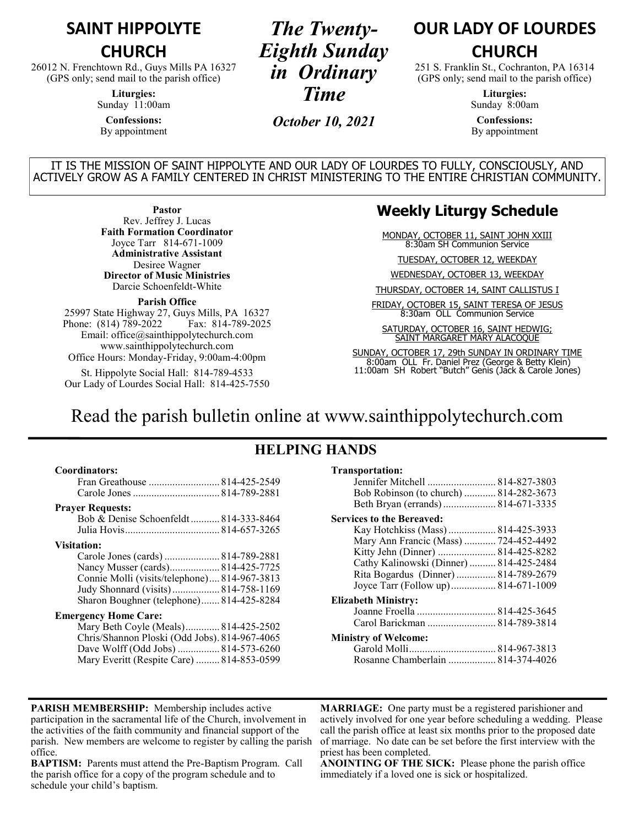## **SAINT HIPPOLYTE**

#### **CHURCH**

26012 N. Frenchtown Rd., Guys Mills PA 16327 (GPS only; send mail to the parish office)

> **Liturgies:** Sunday 11:00am

**Confessions:** By appointment

*The Twenty-Eighth Sunday in Ordinary Time*

*October 10, 2021*

## **OUR LADY OF LOURDES CHURCH**

251 S. Franklin St., Cochranton, PA 16314 (GPS only; send mail to the parish office)

> **Liturgies:** Sunday 8:00am

**Confessions:** By appointment

IT IS THE MISSION OF SAINT HIPPOLYTE AND OUR LADY OF LOURDES TO FULLY, CONSCIOUSLY, AND ACTIVELY GROW AS A FAMILY CENTERED IN CHRIST MINISTERING TO THE ENTIRE CHRISTIAN COMMUNITY.

**Pastor**

Rev. Jeffrey J. Lucas **Faith Formation Coordinator** Joyce Tarr 814-671-1009 **Administrative Assistant** Desiree Wagner **Director of Music Ministries** Darcie Schoenfeldt-White

#### **Parish Office**

25997 State Highway 27, Guys Mills, PA 16327 Phone: (814) 789-2022 Fax: 814-789-2025 Email: office@sainthippolytechurch.com www.sainthippolytechurch.com Office Hours: Monday-Friday, 9:00am-4:00pm

St. Hippolyte Social Hall: 814-789-4533 Our Lady of Lourdes Social Hall: 814-425-7550

#### **Weekly Liturgy Schedule**

MONDAY, OCTOBER 11, SAINT JOHN XXIII 8:30am SH Communion Service

TUESDAY, OCTOBER 12, WEEKDAY

WEDNESDAY, OCTOBER 13, WEEKDAY

THURSDAY, OCTOBER 14, SAINT CALLISTUS I

FRIDAY, OCTOBER 15, SAINT TERESA OF JESUS 8:30am OLL Communion Service

SATURDAY, OCTOBER 16, SAINT HEDWIG; SAINT MARGARET MARY ALACOQUE

SUNDAY, OCTOBER 17, 29th SUNDAY IN ORDINARY TIME 8:00am OLL Fr. Daniel Prez (George & Betty Klein) 11:00am SH Robert "Butch" Genis (Jack & Carole Jones)

## Read the parish bulletin online at www.sainthippolytechurch.com

### **HELPING HANDS**

#### **Coordinators:**

| Fran Greathouse  814-425-2549 |  |
|-------------------------------|--|
|                               |  |

#### **Prayer Requests:**

Bob & Denise Schoenfeldt ........... 814-333-8464 Julia Hovis.................................... 814-657-3265

#### **Visitation:**

| Carole Jones (cards)  814-789-2881           |  |
|----------------------------------------------|--|
| Nancy Musser (cards) 814-425-7725            |  |
| Connie Molli (visits/telephone) 814-967-3813 |  |
| Judy Shonnard (visits) 814-758-1169          |  |
| Sharon Boughner (telephone) 814-425-8284     |  |

#### **Emergency Home Care:**

| Mary Beth Coyle (Meals) 814-425-2502          |  |
|-----------------------------------------------|--|
| Chris/Shannon Ploski (Odd Jobs). 814-967-4065 |  |
| Dave Wolff (Odd Jobs)  814-573-6260           |  |
| Mary Everitt (Respite Care)  814-853-0599     |  |

#### **Transportation:**

| Jennifer Mitchell  814-827-3803<br>Bob Robinson (to church)  814-282-3673                                                                                                                                                                                                      |  |
|--------------------------------------------------------------------------------------------------------------------------------------------------------------------------------------------------------------------------------------------------------------------------------|--|
| <b>Services to the Bereaved:</b><br>Kay Hotchkiss (Mass)  814-425-3933<br>Mary Ann Francic (Mass)  724-452-4492<br>Kitty Jehn (Dinner)  814-425-8282<br>Cathy Kalinowski (Dinner)  814-425-2484<br>Rita Bogardus (Dinner)  814-789-2679<br>Joyce Tarr (Follow up) 814-671-1009 |  |
| Elizabeth Ministry:<br>Carol Barickman  814-789-3814                                                                                                                                                                                                                           |  |
| <b>Ministry of Welcome:</b><br>Rosanne Chamberlain  814-374-4026                                                                                                                                                                                                               |  |

**PARISH MEMBERSHIP:** Membership includes active participation in the sacramental life of the Church, involvement in the activities of the faith community and financial support of the parish. New members are welcome to register by calling the parish office.

**BAPTISM:** Parents must attend the Pre-Baptism Program. Call the parish office for a copy of the program schedule and to schedule your child's baptism.

**MARRIAGE:** One party must be a registered parishioner and actively involved for one year before scheduling a wedding. Please call the parish office at least six months prior to the proposed date of marriage. No date can be set before the first interview with the priest has been completed.

**ANOINTING OF THE SICK:** Please phone the parish office immediately if a loved one is sick or hospitalized.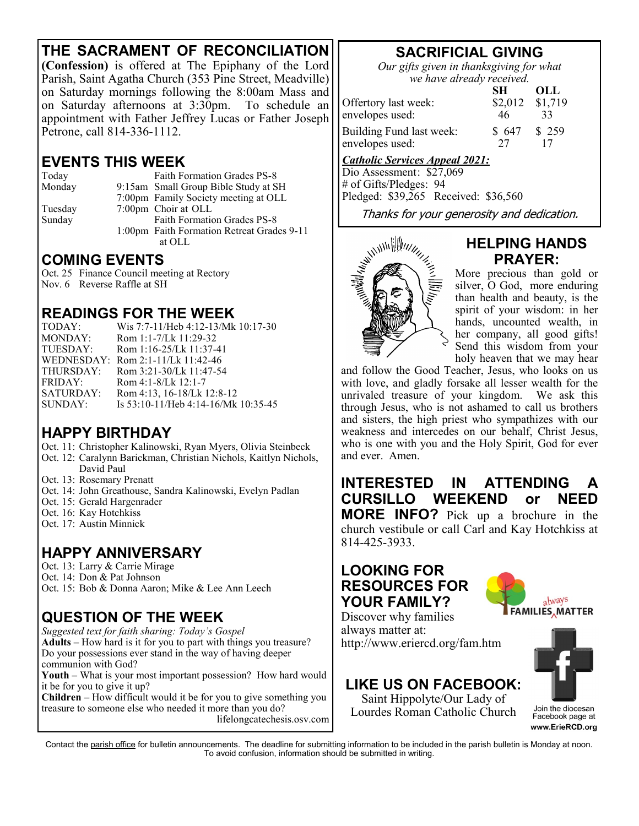## **THE SACRAMENT OF RECONCILIATION**

**(Confession)** is offered at The Epiphany of the Lord Parish, Saint Agatha Church (353 Pine Street, Meadville) on Saturday mornings following the 8:00am Mass and on Saturday afternoons at 3:30pm. To schedule an appointment with Father Jeffrey Lucas or Father Joseph Petrone, call 814-336-1112.

## **EVENTS THIS WEEK**

Today Faith Formation Grades PS-8 Monday 9:15am Small Group Bible Study at SH 7:00pm Family Society meeting at OLL Tuesday 7:00pm Choir at OLL Sunday Faith Formation Grades PS-8 1:00pm Faith Formation Retreat Grades 9-11 at OLL

### **COMING EVENTS**

Oct. 25 Finance Council meeting at Rectory Nov. 6 Reverse Raffle at SH

### **READINGS FOR THE WEEK**

| TODAY:    | Wis 7:7-11/Heb 4:12-13/Mk 10:17-30  |
|-----------|-------------------------------------|
| MONDAY:   | Rom 1:1-7/Lk 11:29-32               |
| TUESDAY:  | Rom 1:16-25/Lk 11:37-41             |
|           | WEDNESDAY: Rom 2:1-11/Lk 11:42-46   |
| THURSDAY: | Rom 3:21-30/Lk 11:47-54             |
| FRIDAY:   | Rom 4:1-8/Lk 12:1-7                 |
| SATURDAY: | Rom 4:13, 16-18/Lk 12:8-12          |
| SUNDAY:   | Is 53:10-11/Heb 4:14-16/Mk 10:35-45 |

### **HAPPY BIRTHDAY**

- Oct. 11: Christopher Kalinowski, Ryan Myers, Olivia Steinbeck
- Oct. 12: Caralynn Barickman, Christian Nichols, Kaitlyn Nichols, David Paul
- Oct. 13: Rosemary Prenatt
- Oct. 14: John Greathouse, Sandra Kalinowski, Evelyn Padlan
- Oct. 15: Gerald Hargenrader
- Oct. 16: Kay Hotchkiss
- Oct. 17: Austin Minnick

## **HAPPY ANNIVERSARY**

Oct. 13: Larry & Carrie Mirage

Oct. 14: Don & Pat Johnson Oct. 15: Bob & Donna Aaron; Mike & Lee Ann Leech

# **QUESTION OF THE WEEK**

*Suggested text for faith sharing: Today's Gospel* **Adults –** How hard is it for you to part with things you treasure? Do your possessions ever stand in the way of having deeper communion with God?

**Youth –** What is your most important possession? How hard would it be for you to give it up?

**Children –** How difficult would it be for you to give something you treasure to someone else who needed it more than you do? lifelongcatechesis.osv.com

# **SACRIFICIAL GIVING**

*Our gifts given in thanksgiving for what we have already received.*

|                          | SН      | OLL     |
|--------------------------|---------|---------|
| Offertory last week:     | \$2,012 | \$1,719 |
| envelopes used:          | 46      | 33      |
| Building Fund last week: | \$647   | \$259   |
| envelopes used:          | 27      |         |

### *Catholic Services Appeal 2021:*

Dio Assessment: \$27,069 # of Gifts/Pledges: 94 Pledged: \$39,265 Received: \$36,560



### **HELPING HANDS PRAYER:**

More precious than gold or silver, O God, more enduring than health and beauty, is the spirit of your wisdom: in her hands, uncounted wealth, in her company, all good gifts! Send this wisdom from your holy heaven that we may hear

and follow the Good Teacher, Jesus, who looks on us with love, and gladly forsake all lesser wealth for the unrivaled treasure of your kingdom. We ask this through Jesus, who is not ashamed to call us brothers and sisters, the high priest who sympathizes with our weakness and intercedes on our behalf, Christ Jesus, who is one with you and the Holy Spirit, God for ever and ever. Amen.

**INTERESTED IN ATTENDING A CURSILLO WEEKEND or NEED MORE INFO?** Pick up a brochure in the church vestibule or call Carl and Kay Hotchkiss at 814-425-3933.

## **LOOKING FOR RESOURCES FOR YOUR FAMILY?**



Discover why families always matter at: http://www.eriercd.org/fam.htm

## **LIKE US ON FACEBOOK:**

Saint Hippolyte/Our Lady of Lourdes Roman Catholic Church



Join the diocesan Facebook page at www.ErieRCD.org

Contact the parish office for bulletin announcements. The deadline for submitting information to be included in the parish bulletin is Monday at noon. To avoid confusion, information should be submitted in writing.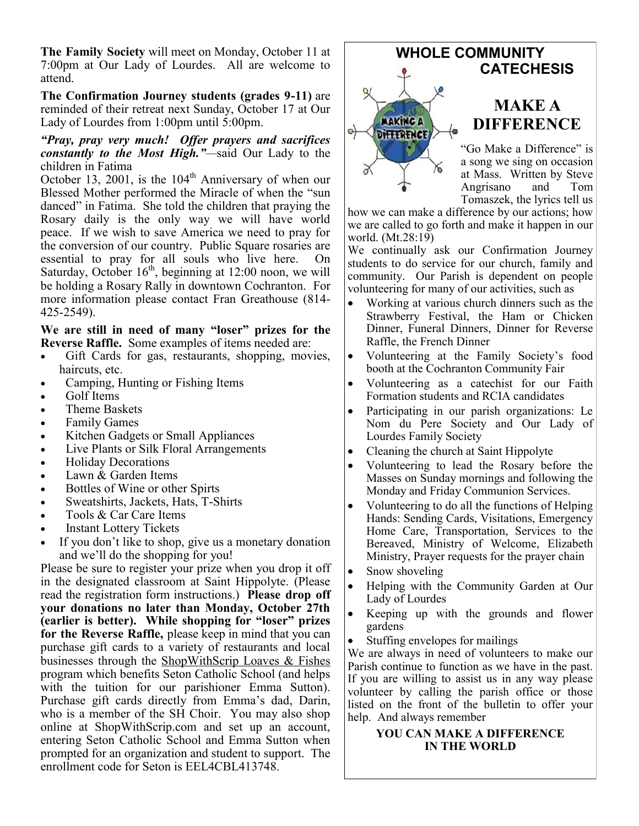**The Family Society** will meet on Monday, October 11 at 7:00pm at Our Lady of Lourdes. All are welcome to attend.

**The Confirmation Journey students (grades 9-11)** are reminded of their retreat next Sunday, October 17 at Our Lady of Lourdes from 1:00pm until 5:00pm.

#### *"Pray, pray very much! Offer prayers and sacrifices constantly to the Most High."—*said Our Lady to the children in Fatima

October 13, 2001, is the  $104<sup>th</sup>$  Anniversary of when our Blessed Mother performed the Miracle of when the "sun danced" in Fatima. She told the children that praying the Rosary daily is the only way we will have world peace. If we wish to save America we need to pray for the conversion of our country. Public Square rosaries are essential to pray for all souls who live here. On Saturday, October  $16<sup>th</sup>$ , beginning at 12:00 noon, we will be holding a Rosary Rally in downtown Cochranton. For more information please contact Fran Greathouse (814- 425-2549).

**We are still in need of many "loser" prizes for the Reverse Raffle.** Some examples of items needed are:

- Gift Cards for gas, restaurants, shopping, movies, haircuts, etc.
- Camping, Hunting or Fishing Items
- Golf Items
- Theme Baskets
- **Family Games**
- Kitchen Gadgets or Small Appliances
- Live Plants or Silk Floral Arrangements
- Holiday Decorations
- Lawn & Garden Items
- Bottles of Wine or other Spirts
- Sweatshirts, Jackets, Hats, T-Shirts
- Tools & Car Care Items
- **Instant Lottery Tickets**
- If you don't like to shop, give us a monetary donation and we'll do the shopping for you!

Please be sure to register your prize when you drop it off in the designated classroom at Saint Hippolyte. (Please read the registration form instructions.) **Please drop off your donations no later than Monday, October 27th (earlier is better). While shopping for "loser" prizes for the Reverse Raffle,** please keep in mind that you can purchase gift cards to a variety of restaurants and local businesses through the ShopWithScrip Loaves & Fishes program which benefits Seton Catholic School (and helps with the tuition for our parishioner Emma Sutton). Purchase gift cards directly from Emma's dad, Darin, who is a member of the SH Choir. You may also shop online at ShopWithScrip.com and set up an account, entering Seton Catholic School and Emma Sutton when prompted for an organization and student to support. The enrollment code for Seton is EEL4CBL413748.

![](_page_2_Picture_20.jpeg)

"Go Make a Difference" is a song we sing on occasion at Mass. Written by Steve Angrisano and Tom Tomaszek, the lyrics tell us

how we can make a difference by our actions; how we are called to go forth and make it happen in our world. (Mt.28:19)

We continually ask our Confirmation Journey students to do service for our church, family and community. Our Parish is dependent on people volunteering for many of our activities, such as

- Working at various church dinners such as the Strawberry Festival, the Ham or Chicken Dinner, Funeral Dinners, Dinner for Reverse Raffle, the French Dinner
- Volunteering at the Family Society's food booth at the Cochranton Community Fair
- Volunteering as a catechist for our Faith Formation students and RCIA candidates
- Participating in our parish organizations: Le Nom du Pere Society and Our Lady of Lourdes Family Society
- Cleaning the church at Saint Hippolyte
- Volunteering to lead the Rosary before the Masses on Sunday mornings and following the Monday and Friday Communion Services.
- Volunteering to do all the functions of Helping Hands: Sending Cards, Visitations, Emergency Home Care, Transportation, Services to the Bereaved, Ministry of Welcome, Elizabeth Ministry, Prayer requests for the prayer chain
- Snow shoveling
- Helping with the Community Garden at Our Lady of Lourdes
- Keeping up with the grounds and flower gardens
- Stuffing envelopes for mailings

We are always in need of volunteers to make our Parish continue to function as we have in the past. If you are willing to assist us in any way please volunteer by calling the parish office or those listed on the front of the bulletin to offer your help. And always remember

#### **YOU CAN MAKE A DIFFERENCE IN THE WORLD**